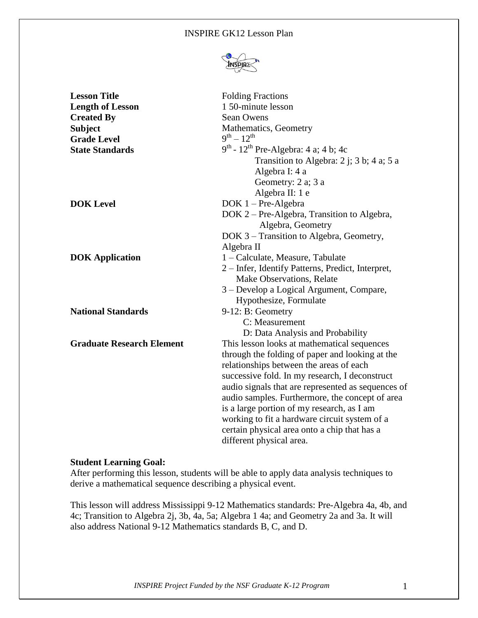#### INSPIRE GK12 Lesson Plan



| <b>Lesson Title</b>              | <b>Folding Fractions</b>                              |
|----------------------------------|-------------------------------------------------------|
| <b>Length of Lesson</b>          | 1 50-minute lesson                                    |
| <b>Created By</b>                | <b>Sean Owens</b>                                     |
| <b>Subject</b>                   | Mathematics, Geometry                                 |
| <b>Grade Level</b>               | $9^{th} - 12^{th}$                                    |
| <b>State Standards</b>           | $9^{th}$ - 12 <sup>th</sup> Pre-Algebra: 4 a; 4 b; 4c |
|                                  | Transition to Algebra: $2$ j; $3$ b; $4$ a; $5$ a     |
|                                  | Algebra I: 4 a                                        |
|                                  | Geometry: 2 a; 3 a                                    |
|                                  | Algebra II: 1 e                                       |
| <b>DOK Level</b>                 | $DOK 1 - Pre-Algebra$                                 |
|                                  | DOK 2 – Pre-Algebra, Transition to Algebra,           |
|                                  | Algebra, Geometry                                     |
|                                  | DOK 3 – Transition to Algebra, Geometry,              |
|                                  | Algebra II                                            |
| <b>DOK</b> Application           | 1 – Calculate, Measure, Tabulate                      |
|                                  | 2 - Infer, Identify Patterns, Predict, Interpret,     |
|                                  | Make Observations, Relate                             |
|                                  | 3 – Develop a Logical Argument, Compare,              |
|                                  | Hypothesize, Formulate                                |
| <b>National Standards</b>        | 9-12: B: Geometry                                     |
|                                  | C: Measurement                                        |
|                                  | D: Data Analysis and Probability                      |
| <b>Graduate Research Element</b> | This lesson looks at mathematical sequences           |
|                                  | through the folding of paper and looking at the       |
|                                  | relationships between the areas of each               |
|                                  | successive fold. In my research, I deconstruct        |
|                                  | audio signals that are represented as sequences of    |
|                                  | audio samples. Furthermore, the concept of area       |
|                                  | is a large portion of my research, as I am            |
|                                  | working to fit a hardware circuit system of a         |
|                                  | certain physical area onto a chip that has a          |
|                                  | different physical area.                              |

#### **Student Learning Goal:**

After performing this lesson, students will be able to apply data analysis techniques to derive a mathematical sequence describing a physical event.

This lesson will address Mississippi 9-12 Mathematics standards: Pre-Algebra 4a, 4b, and 4c; Transition to Algebra 2j, 3b, 4a, 5a; Algebra 1 4a; and Geometry 2a and 3a. It will also address National 9-12 Mathematics standards B, C, and D.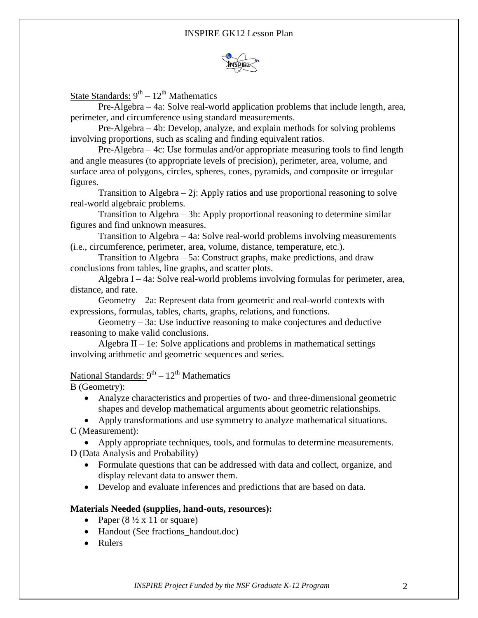

State Standards: 9<sup>th</sup> – 12<sup>th</sup> Mathematics

Pre-Algebra – 4a: Solve real-world application problems that include length, area, perimeter, and circumference using standard measurements.

Pre-Algebra – 4b: Develop, analyze, and explain methods for solving problems involving proportions, such as scaling and finding equivalent ratios.

Pre-Algebra – 4c: Use formulas and/or appropriate measuring tools to find length and angle measures (to appropriate levels of precision), perimeter, area, volume, and surface area of polygons, circles, spheres, cones, pyramids, and composite or irregular figures.

Transition to Algebra  $-2j$ : Apply ratios and use proportional reasoning to solve real-world algebraic problems.

Transition to Algebra – 3b: Apply proportional reasoning to determine similar figures and find unknown measures.

Transition to Algebra – 4a: Solve real-world problems involving measurements (i.e., circumference, perimeter, area, volume, distance, temperature, etc.).

Transition to Algebra – 5a: Construct graphs, make predictions, and draw conclusions from tables, line graphs, and scatter plots.

Algebra I – 4a: Solve real-world problems involving formulas for perimeter, area, distance, and rate.

Geometry – 2a: Represent data from geometric and real-world contexts with expressions, formulas, tables, charts, graphs, relations, and functions.

Geometry – 3a: Use inductive reasoning to make conjectures and deductive reasoning to make valid conclusions.

Algebra  $II - Ie$ : Solve applications and problems in mathematical settings involving arithmetic and geometric sequences and series.

# National Standards: 9<sup>th</sup> – 12<sup>th</sup> Mathematics

B (Geometry):

 Analyze characteristics and properties of two- and three-dimensional geometric shapes and develop mathematical arguments about geometric relationships.

 Apply transformations and use symmetry to analyze mathematical situations. C (Measurement):

 Apply appropriate techniques, tools, and formulas to determine measurements. D (Data Analysis and Probability)

- Formulate questions that can be addressed with data and collect, organize, and display relevant data to answer them.
- Develop and evaluate inferences and predictions that are based on data.

#### **Materials Needed (supplies, hand-outs, resources):**

- Paper  $(8 \frac{1}{2} \times 11)$  or square)
- Handout (See fractions handout.doc)
- Rulers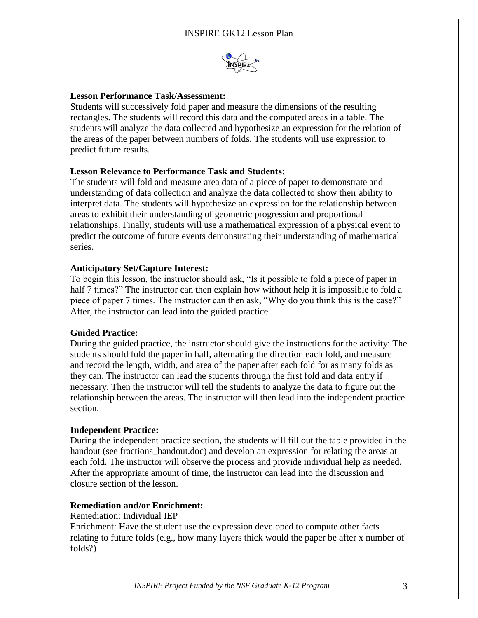## INSPIRE GK12 Lesson Plan



#### **Lesson Performance Task/Assessment:**

Students will successively fold paper and measure the dimensions of the resulting rectangles. The students will record this data and the computed areas in a table. The students will analyze the data collected and hypothesize an expression for the relation of the areas of the paper between numbers of folds. The students will use expression to predict future results.

#### **Lesson Relevance to Performance Task and Students:**

The students will fold and measure area data of a piece of paper to demonstrate and understanding of data collection and analyze the data collected to show their ability to interpret data. The students will hypothesize an expression for the relationship between areas to exhibit their understanding of geometric progression and proportional relationships. Finally, students will use a mathematical expression of a physical event to predict the outcome of future events demonstrating their understanding of mathematical series.

#### **Anticipatory Set/Capture Interest:**

To begin this lesson, the instructor should ask, "Is it possible to fold a piece of paper in half 7 times?" The instructor can then explain how without help it is impossible to fold a piece of paper 7 times. The instructor can then ask, "Why do you think this is the case?" After, the instructor can lead into the guided practice.

#### **Guided Practice:**

During the guided practice, the instructor should give the instructions for the activity: The students should fold the paper in half, alternating the direction each fold, and measure and record the length, width, and area of the paper after each fold for as many folds as they can. The instructor can lead the students through the first fold and data entry if necessary. Then the instructor will tell the students to analyze the data to figure out the relationship between the areas. The instructor will then lead into the independent practice section.

#### **Independent Practice:**

During the independent practice section, the students will fill out the table provided in the handout (see fractions handout.doc) and develop an expression for relating the areas at each fold. The instructor will observe the process and provide individual help as needed. After the appropriate amount of time, the instructor can lead into the discussion and closure section of the lesson.

#### **Remediation and/or Enrichment:**

#### Remediation: Individual IEP

Enrichment: Have the student use the expression developed to compute other facts relating to future folds (e.g., how many layers thick would the paper be after x number of folds?)